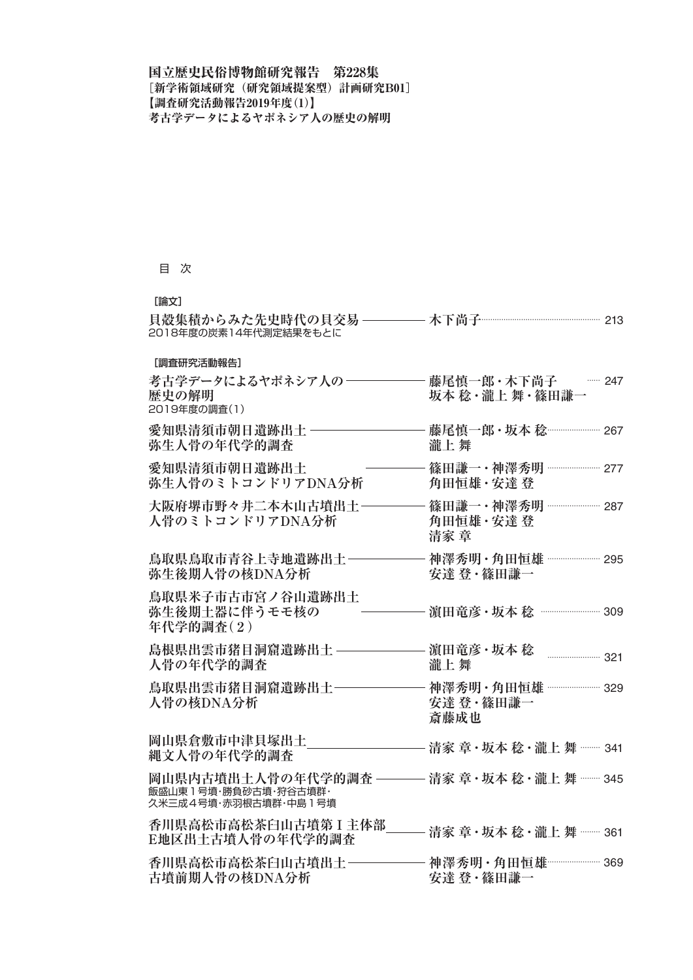## 目 次

## [論文]

| 貝殻集積からみた先史時代の貝交易<br>2018年度の炭素14年代測定結果をもとに                            | 木下尚子 ………………………………………… 213                                 |
|----------------------------------------------------------------------|-----------------------------------------------------------|
| [調査研究活動報告]                                                           |                                                           |
| 考古学データによるヤポネシア人の-<br>歴史の解明<br>2019年度の調査(1)                           | 藤尾慎一郎·木下尚子 – 347<br>坂本 稔・瀧上 舞・篠田謙一                        |
| 愛知県清須市朝日遺跡出土<br>弥生人骨の年代学的調査                                          | 瀧上舞                                                       |
| 愛知県清須市朝日遺跡出土<br>弥生人骨のミトコンドリアDNA分析                                    | 篠田謙一·神澤秀明 ……………… 277<br>角田恒雄·安達登                          |
| 大阪府堺市野々井二本木山古墳出土<br>人骨のミトコンドリアDNA分析                                  | 篠田謙一·神澤秀明 ……………… 287<br>角田恒雄・安達 登<br>清家 章                 |
| 鳥取県鳥取市青谷上寺地遺跡出土<br>弥生後期人骨の核DNA分析                                     | 神澤秀明 · 角田恒雄 ···················· 295<br>安達 登・篠田謙一         |
| 鳥取県米子市古市宮ノ谷山遺跡出土<br>弥生後期土器に伴うモモ核の<br>年代学的調査(2)                       | 濵田竜彦 · 坂本 稔 …………………… 309                                  |
| 島根県出雲市猪目洞窟遺跡出土<br>人骨の年代学的調査                                          | 濵田竜彦・坂本 稔<br>$\frac{1}{221}$<br>瀧上舞                       |
| 鳥取県出雲市猪目洞窟遺跡出土<br>人骨の核DNA分析                                          | 神澤秀明 · 角田恒雄 ···················· 329<br>安達 登・篠田謙一<br>斎藤成也 |
| 岡山県倉敷市中津貝塚出土<br>縄文人骨の年代学的調査                                          | 清家 章・坂本 稔・瀧上 舞 ……… 341                                    |
| 岡山県内古墳出土人骨の年代学的調査 ––<br>飯盛山東1号墳·勝負砂古墳·狩谷古墳群·<br>久米三成4号墳·赤羽根古墳群·中島1号墳 | —— 清家 章 · 坂本 稔 · 瀧上 舞 ······· 345                         |
| 香川県高松市高松茶臼山古墳第 I 主体部<br>E地区出土古墳人骨の年代学的調査                             | 清家 章 · 坂本 稔 · 瀧上 舞 · · · · 361                            |
| 香川県高松市高松茶臼山古墳出土<br>古墳前期人骨の核DNA分析                                     | 神澤秀明·角田恒雄 ………………… 369<br>安達 登・篠田謙一                        |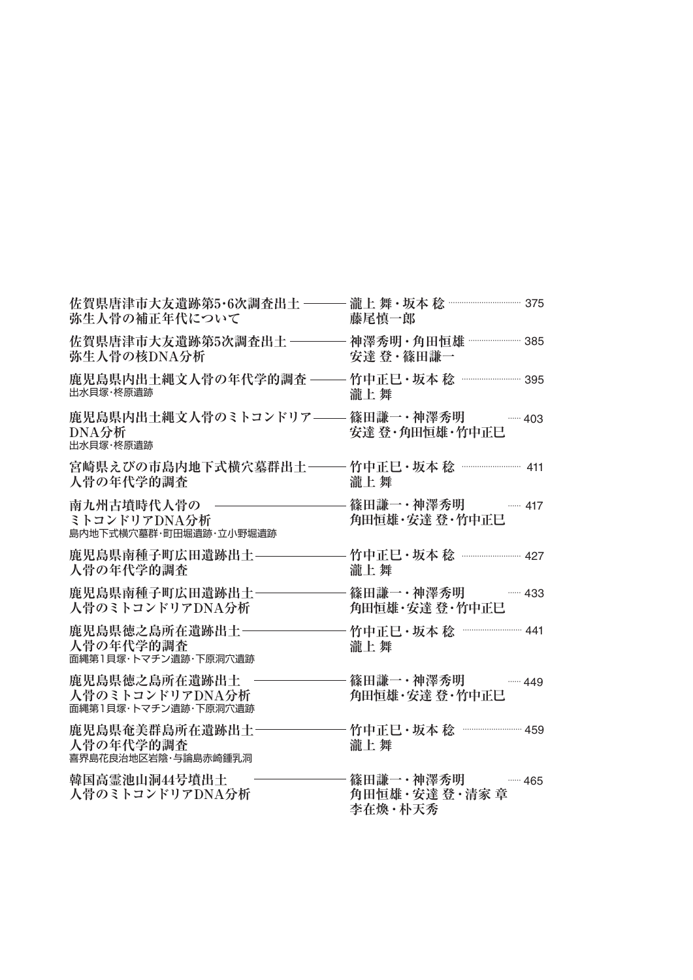| 佐賀県唐津市大友遺跡第5・6次調査出土 – – –<br>弥生人骨の補正年代について               | 藤尾慎一郎                                              |
|----------------------------------------------------------|----------------------------------------------------|
| 佐賀県唐津市大友遺跡第5次調査出土 ――<br>弥生人骨の核DNA分析                      | 神澤秀明 · 角田恒雄 ··················· 385<br>安達 登・篠田謙一   |
| 鹿児島県内出土縄文人骨の年代学的調査 -<br>出水貝塚·柊原遺跡                        | 竹中正巳 • 坂本 稔<br>瀧上舞                                 |
| 鹿児島県内出土縄文人骨のミトコンドリア––<br>DNA分析<br>出水貝塚·柊原遺跡              | 篠田謙一·神澤秀明 777-403<br>安達 登・角田恒雄・竹中正巳                |
| 宮崎県えびの市島内地下式横穴墓群出土―――竹中正巳・坂本 稔 …………………… 411<br>人骨の年代学的調査 | 瀧上舞                                                |
| 南九州古墳時代人骨の<br>ミトコンドリアDNA分析<br>島内地下式横穴墓群・町田堀遺跡・立小野堀遺跡     | 篠田謙一・神澤秀明 -------- 417<br>角田恒雄・安達 登・竹中正巳           |
| 鹿児島県南種子町広田遺跡出土<br>人骨の年代学的調査                              | 竹中正巳·坂本 稔 …………………… 427<br>瀧上舞                      |
| 鹿児島県南種子町広田遺跡出土-<br>人骨のミトコンドリアDNA分析                       | 篠田謙一・神澤秀明」<br>$\cdots$ 433<br>角田恒雄・安達 登・竹中正巳       |
| 鹿児島県徳之島所在遺跡出土-<br>人骨の年代学的調査<br>面縄第1貝塚・トマチン遺跡・下原洞穴遺跡      | 竹中正巳 • 坂本 稔<br>瀧上舞                                 |
| 鹿児島県徳之島所在遺跡出土<br>人骨のミトコンドリアDNA分析<br>面縄第1貝塚・トマチン遺跡・下原洞穴遺跡 | 篠田謙一·神澤秀明<br>$\cdots$ 449<br>角田恒雄・安達 登・竹中正巳        |
| 鹿児島県奄美群島所在遺跡出土<br>人骨の年代学的調査<br>喜界島花良治地区岩陰·与論島赤崎鍾乳洞       | 竹中正巳·坂本 稔 ····························· 459<br>瀧上舞 |
| 韓国高霊池山洞44号墳出土<br>人骨のミトコンドリアDNA分析                         | 篠田謙一・神澤秀明 ------- 465<br>角田恒雄・安達 登・清家 章<br>李在煥·朴天秀 |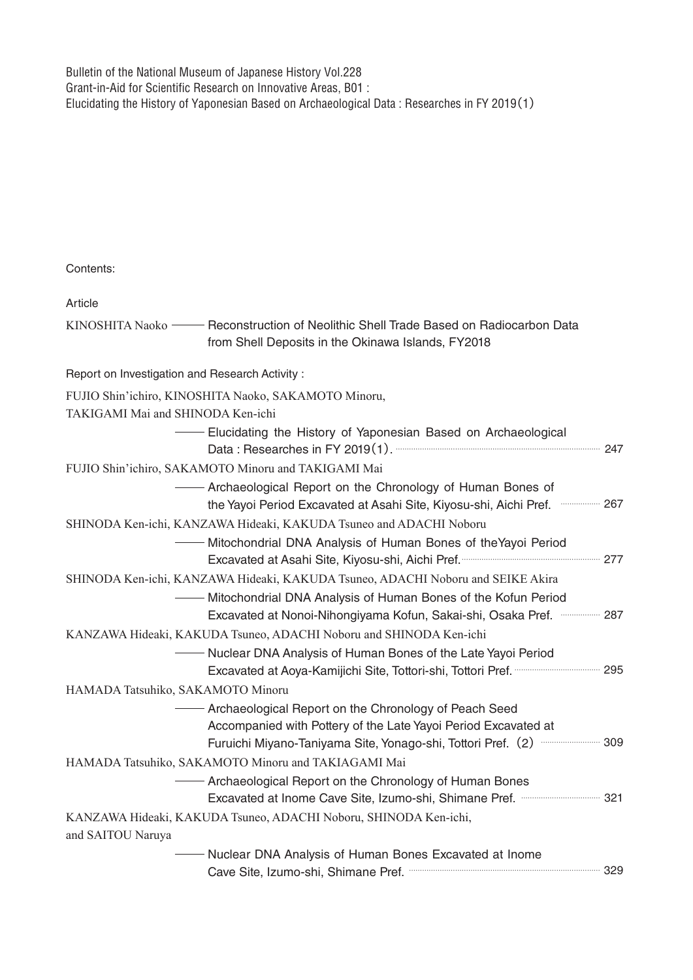Bulletin of the National Museum of Japanese History Vol.228 Grant-in-Aid for Scientific Research on Innovative Areas, B01 : Elucidating the History of Yaponesian Based on Archaeological Data : Researches in FY 2019(1)

Contents: FUJIO Shin'ichiro, KINOSHITA Naoko, SAKAMOTO Minoru, TAKIGAMI Mai and SHINODA Ken-ichi KINOSHITA Naoko — Reconstruction of Neolithic Shell Trade Based on Radiocarbon Data FUJIO Shin'ichiro, SAKAMOTO Minoru and TAKIGAMI Mai Elucidating the History of Yaponesian Based on Archaeological Data : Researches in FY 2019(1). 247 ………………………………………………………………………………… from Shell Deposits in the Okinawa Islands, FY2018 Archaeological Report on the Chronology of Human Bones of the Yayoi Period Excavated at Asahi Site, Kiyosu-shi, Aichi Pref. 267 ……………… SHINODA Ken-ichi, KANZAWA Hideaki, KAKUDA Tsuneo and ADACHI Noboru SHINODA Ken-ichi, KANZAWA Hideaki, KAKUDA Tsuneo, ADACHI Noboru and SEIKE Akira **Witochondrial DNA Analysis of Human Bones of theYayoi Period** Excavated at Asahi Site, Kiyosu-shi, Aichi Pref. **Carrolla Macchi 277 WE Mitochondrial DNA Analysis of Human Bones of the Kofun Period** Excavated at Nonoi-Nihongiyama Kofun, Sakai-shi, Osaka Pref. 287 ……………… KANZAWA Hideaki, KAKUDA Tsuneo, ADACHI Noboru and SHINODA Ken-ichi Nuclear DNA Analysis of Human Bones of the Late Yayoi Period Excavated at Aoya-Kamijichi Site, Tottori-shi, Tottori Pref. ………………………………… 295 HAMADA Tatsuhiko, SAKAMOTO Minoru HAMADA Tatsuhiko, SAKAMOTO Minoru and TAKIAGAMI Mai Archaeological Report on the Chronology of Peach Seed Accompanied with Pottery of the Late Yayoi Period Excavated at Furuichi Miyano-Taniyama Site, Yonago-shi, Tottori Pref.(2) 309 ……………………… Archaeological Report on the Chronology of Human Bones Excavated at Inome Cave Site, Izumo-shi, Shimane Pref. 321 ……………………………… KANZAWA Hideaki, KAKUDA Tsuneo, ADACHI Noboru, SHINODA Ken-ichi, and SAITOU Naruya Nuclear DNA Analysis of Human Bones Excavated at Inome Cave Site, Izumo-shi, Shimane Pref. …………………………………………………………………………… 329 Report on Investigation and Research Activity : **Article**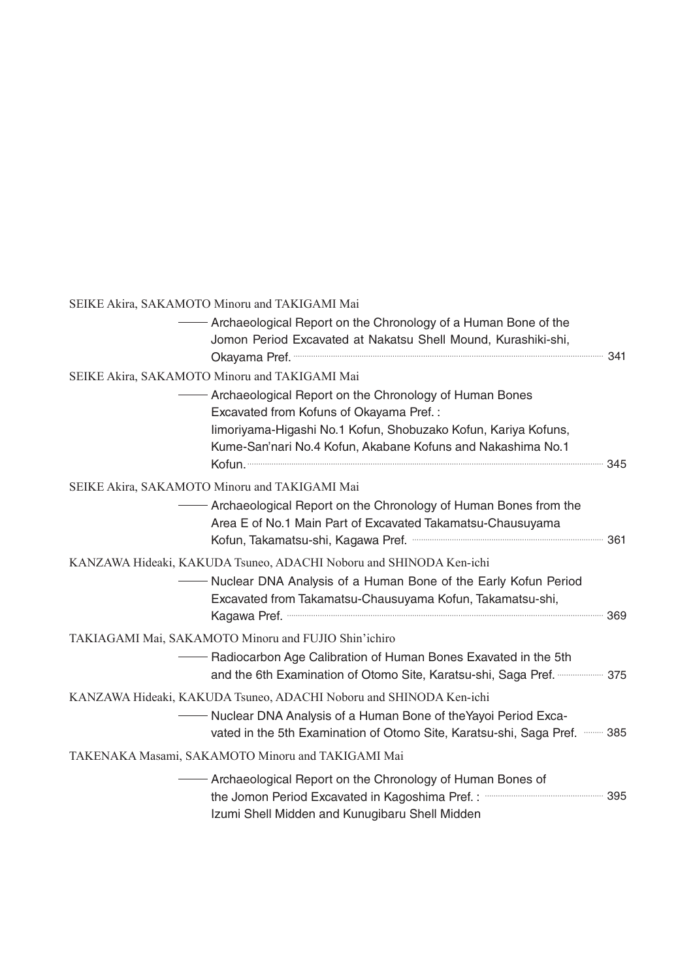| SEIKE Akira, SAKAMOTO Minoru and TAKIGAMI Mai                                                                                                                                                                                                    |  |
|--------------------------------------------------------------------------------------------------------------------------------------------------------------------------------------------------------------------------------------------------|--|
| Archaeological Report on the Chronology of a Human Bone of the<br>Jomon Period Excavated at Nakatsu Shell Mound, Kurashiki-shi,                                                                                                                  |  |
| SEIKE Akira, SAKAMOTO Minoru and TAKIGAMI Mai                                                                                                                                                                                                    |  |
| Archaeological Report on the Chronology of Human Bones<br>Excavated from Kofuns of Okayama Pref.:<br>limoriyama-Higashi No.1 Kofun, Shobuzako Kofun, Kariya Kofuns,<br>Kume-San'nari No.4 Kofun, Akabane Kofuns and Nakashima No.1<br>Kofun. 245 |  |
| SEIKE Akira, SAKAMOTO Minoru and TAKIGAMI Mai                                                                                                                                                                                                    |  |
| - Archaeological Report on the Chronology of Human Bones from the<br>Area E of No.1 Main Part of Excavated Takamatsu-Chausuyama                                                                                                                  |  |
| KANZAWA Hideaki, KAKUDA Tsuneo, ADACHI Noboru and SHINODA Ken-ichi                                                                                                                                                                               |  |
| - Nuclear DNA Analysis of a Human Bone of the Early Kofun Period<br>Excavated from Takamatsu-Chausuyama Kofun, Takamatsu-shi,<br>Kagawa Pref. 369                                                                                                |  |
| TAKIAGAMI Mai, SAKAMOTO Minoru and FUJIO Shin'ichiro                                                                                                                                                                                             |  |
| - Radiocarbon Age Calibration of Human Bones Exavated in the 5th<br>and the 6th Examination of Otomo Site, Karatsu-shi, Saga Pref.  375                                                                                                          |  |
| KANZAWA Hideaki, KAKUDA Tsuneo, ADACHI Noboru and SHINODA Ken-ichi                                                                                                                                                                               |  |
| - Nuclear DNA Analysis of a Human Bone of the Yayoi Period Exca-<br>vated in the 5th Examination of Otomo Site, Karatsu-shi, Saga Pref.  385                                                                                                     |  |
| TAKENAKA Masami, SAKAMOTO Minoru and TAKIGAMI Mai                                                                                                                                                                                                |  |
| - Archaeological Report on the Chronology of Human Bones of<br>Izumi Shell Midden and Kunugibaru Shell Midden                                                                                                                                    |  |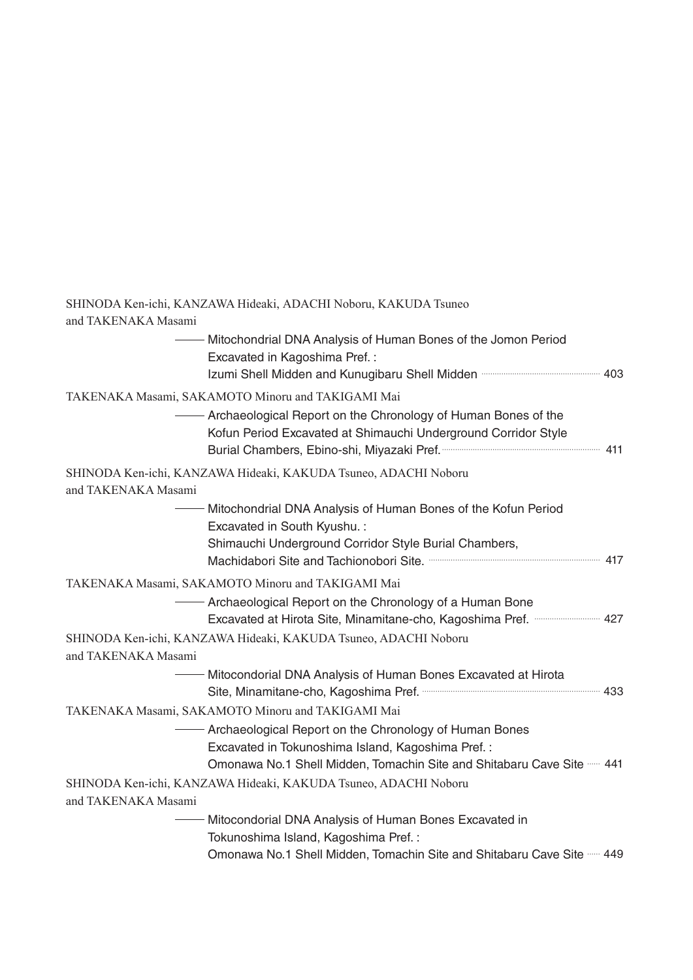|                     | SHINODA Ken-ichi, KANZAWA Hideaki, ADACHI Noboru, KAKUDA Tsuneo                                                                   |  |
|---------------------|-----------------------------------------------------------------------------------------------------------------------------------|--|
| and TAKENAKA Masami |                                                                                                                                   |  |
|                     | Mitochondrial DNA Analysis of Human Bones of the Jomon Period<br>Excavated in Kagoshima Pref.:                                    |  |
|                     | Izumi Shell Midden and Kunugibaru Shell Midden manufacture and 403                                                                |  |
|                     | TAKENAKA Masami, SAKAMOTO Minoru and TAKIGAMI Mai                                                                                 |  |
|                     | - Archaeological Report on the Chronology of Human Bones of the<br>Kofun Period Excavated at Shimauchi Underground Corridor Style |  |
|                     | SHINODA Ken-ichi, KANZAWA Hideaki, KAKUDA Tsuneo, ADACHI Noboru                                                                   |  |
| and TAKENAKA Masami |                                                                                                                                   |  |
|                     | Mitochondrial DNA Analysis of Human Bones of the Kofun Period<br>Excavated in South Kyushu.:                                      |  |
|                     | Shimauchi Underground Corridor Style Burial Chambers,                                                                             |  |
|                     | TAKENAKA Masami, SAKAMOTO Minoru and TAKIGAMI Mai                                                                                 |  |
|                     | - Archaeological Report on the Chronology of a Human Bone<br>Excavated at Hirota Site, Minamitane-cho, Kagoshima Pref.  427       |  |
| and TAKENAKA Masami | SHINODA Ken-ichi, KANZAWA Hideaki, KAKUDA Tsuneo, ADACHI Noboru                                                                   |  |
|                     | - Mitocondorial DNA Analysis of Human Bones Excavated at Hirota                                                                   |  |
|                     | TAKENAKA Masami, SAKAMOTO Minoru and TAKIGAMI Mai                                                                                 |  |
|                     | - Archaeological Report on the Chronology of Human Bones                                                                          |  |
|                     | Excavated in Tokunoshima Island, Kagoshima Pref.:                                                                                 |  |
|                     | Omonawa No.1 Shell Midden, Tomachin Site and Shitabaru Cave Site -- 441                                                           |  |
| and TAKENAKA Masami | SHINODA Ken-ichi, KANZAWA Hideaki, KAKUDA Tsuneo, ADACHI Noboru                                                                   |  |
|                     | Mitocondorial DNA Analysis of Human Bones Excavated in<br>Tokunoshima Island, Kagoshima Pref.:                                    |  |
|                     | Omonawa No.1 Shell Midden, Tomachin Site and Shitabaru Cave Site ----- 449                                                        |  |